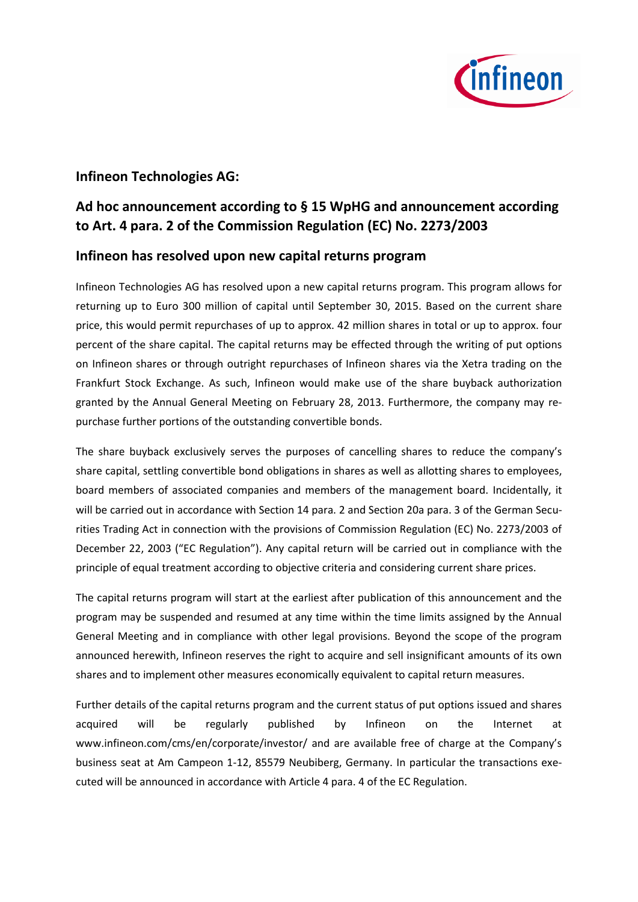

## **Infineon Technologies AG:**

## **Ad hoc announcement according to § 15 WpHG and announcement according to Art. 4 para. 2 of the Commission Regulation (EC) No. 2273/2003**

## **Infineon has resolved upon new capital returns program**

Infineon Technologies AG has resolved upon a new capital returns program. This program allows for returning up to Euro 300 million of capital until September 30, 2015. Based on the current share price, this would permit repurchases of up to approx. 42 million shares in total or up to approx. four percent of the share capital. The capital returns may be effected through the writing of put options on Infineon shares or through outright repurchases of Infineon shares via the Xetra trading on the Frankfurt Stock Exchange. As such, Infineon would make use of the share buyback authorization granted by the Annual General Meeting on February 28, 2013. Furthermore, the company may repurchase further portions of the outstanding convertible bonds.

The share buyback exclusively serves the purposes of cancelling shares to reduce the company's share capital, settling convertible bond obligations in shares as well as allotting shares to employees, board members of associated companies and members of the management board. Incidentally, it will be carried out in accordance with Section 14 para. 2 and Section 20a para. 3 of the German Securities Trading Act in connection with the provisions of Commission Regulation (EC) No. 2273/2003 of December 22, 2003 ("EC Regulation"). Any capital return will be carried out in compliance with the principle of equal treatment according to objective criteria and considering current share prices.

The capital returns program will start at the earliest after publication of this announcement and the program may be suspended and resumed at any time within the time limits assigned by the Annual General Meeting and in compliance with other legal provisions. Beyond the scope of the program announced herewith, Infineon reserves the right to acquire and sell insignificant amounts of its own shares and to implement other measures economically equivalent to capital return measures.

Further details of the capital returns program and the current status of put options issued and shares acquired will be regularly published by Infineon on the Internet at www.infineon.com/cms/en/corporate/investor/ and are available free of charge at the Company's business seat at Am Campeon 1-12, 85579 Neubiberg, Germany. In particular the transactions executed will be announced in accordance with Article 4 para. 4 of the EC Regulation.